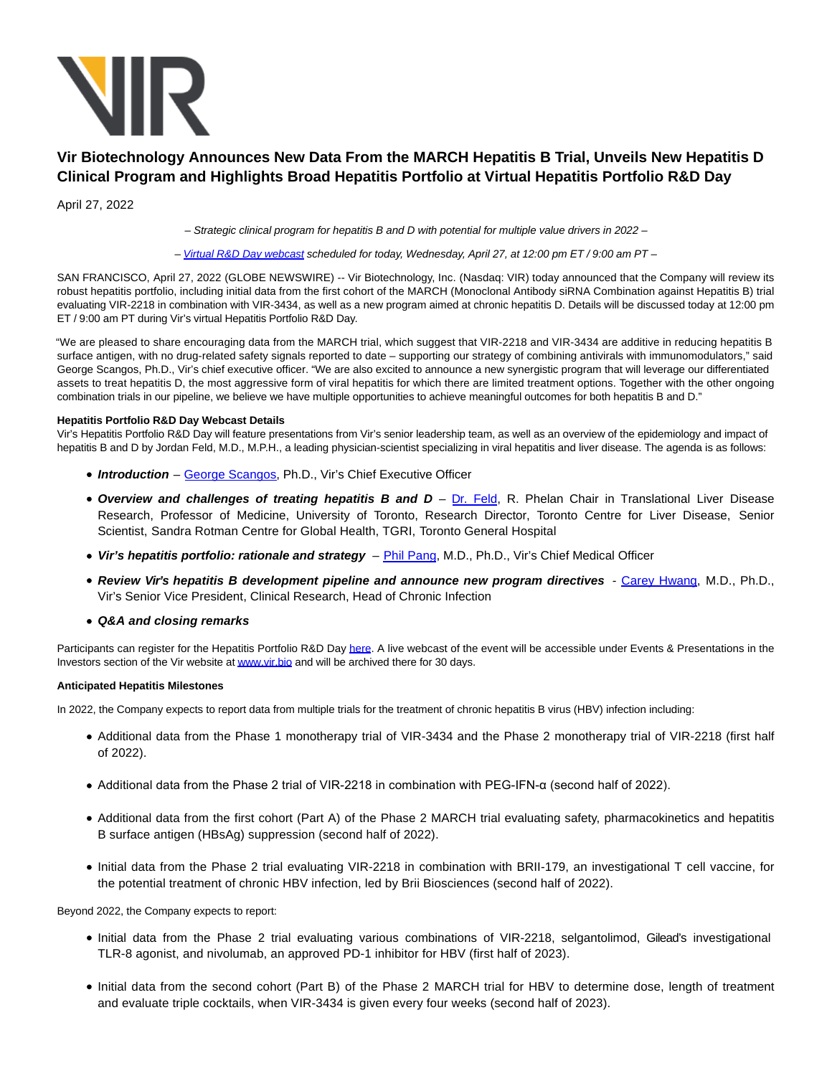

# **Vir Biotechnology Announces New Data From the MARCH Hepatitis B Trial, Unveils New Hepatitis D Clinical Program and Highlights Broad Hepatitis Portfolio at Virtual Hepatitis Portfolio R&D Day**

April 27, 2022

– Strategic clinical program for hepatitis B and D with potential for multiple value drivers in 2022 –

– [Virtual R&D Day webcast](https://www.globenewswire.com/Tracker?data=FagEjLWK3kZmOWXW7N9soCA8-SMS9ZlUUU-Do8QKnhBswlT1WNlqibmgQAQsx1FDEwKz28-mGdm-aqUtBU1qE0W4wIatMulMd0x2HWSeWu8MRwforhlcNEec8yg86dWDVHw8mRXUOYvaTuuc_HZoug==) scheduled for today, Wednesday, April 27, at 12:00 pm ET / 9:00 am PT –

SAN FRANCISCO, April 27, 2022 (GLOBE NEWSWIRE) -- Vir Biotechnology, Inc. (Nasdaq: VIR) today announced that the Company will review its robust hepatitis portfolio, including initial data from the first cohort of the MARCH (Monoclonal Antibody siRNA Combination against Hepatitis B) trial evaluating VIR-2218 in combination with VIR-3434, as well as a new program aimed at chronic hepatitis D. Details will be discussed today at 12:00 pm ET / 9:00 am PT during Vir's virtual Hepatitis Portfolio R&D Day.

"We are pleased to share encouraging data from the MARCH trial, which suggest that VIR-2218 and VIR-3434 are additive in reducing hepatitis B surface antigen, with no drug-related safety signals reported to date – supporting our strategy of combining antivirals with immunomodulators," said George Scangos, Ph.D., Vir's chief executive officer. "We are also excited to announce a new synergistic program that will leverage our differentiated assets to treat hepatitis D, the most aggressive form of viral hepatitis for which there are limited treatment options. Together with the other ongoing combination trials in our pipeline, we believe we have multiple opportunities to achieve meaningful outcomes for both hepatitis B and D."

# **Hepatitis Portfolio R&D Day Webcast Details**

Vir's Hepatitis Portfolio R&D Day will feature presentations from Vir's senior leadership team, as well as an overview of the epidemiology and impact of hepatitis B and D by Jordan Feld, M.D., M.P.H., a leading physician-scientist specializing in viral hepatitis and liver disease. The agenda is as follows:

- **Introduction** – [George Scangos,](https://www.vir.bio/team/george-scangos/) Ph.D., Vir's Chief Executive Officer
- **Overview and challenges of treating hepatitis B and D** – [Dr. Feld,](https://www.uhn.ca/PatientsFamilies/Search_Doctors/Pages/doctor_detail.aspx?doctor=543) R. Phelan Chair in Translational Liver Disease Research, Professor of Medicine, University of Toronto, Research Director, Toronto Centre for Liver Disease, Senior Scientist, Sandra Rotman Centre for Global Health, TGRI, Toronto General Hospital
- **Vir's hepatitis portfolio: rationale and strategy** [Phil Pang,](https://www.vir.bio/team/phil-pang/) M.D., Ph.D., Vir's Chief Medical Officer
- **Review Vir's hepatitis B development pipeline and announce new program directives**  [Carey Hwang,](https://www.linkedin.com/in/carey-hwang-md-phd-22325ab/) M.D., Ph.D., Vir's Senior Vice President, Clinical Research, Head of Chronic Infection
- **Q&A and closing remarks**

Participants can register for the Hepatitis Portfolio R&D Day [here.](https://www.globenewswire.com/Tracker?data=bXjuB0LmRdzPnRxyqSPmczwRJja0OgFTRinHzq0FffOfyR3A7I2uMNlNyqON5Cc0YeK1ChluiNGKhutKILipLo9st9mnfL5UfA75AOsPelw=) A live webcast of the event will be accessible under Events & Presentations in the Investors section of the Vir website a[t www.vir.bio a](https://www.globenewswire.com/Tracker?data=4KGFwYwIHNlNbbFi93xxf6aTWoZUubLxrdl-50J1b1vckWV0ItdxTKXBhX114UA159tFR9SjV_7Xh0tGdIEjhg==)nd will be archived there for 30 days.

# **Anticipated Hepatitis Milestones**

In 2022, the Company expects to report data from multiple trials for the treatment of chronic hepatitis B virus (HBV) infection including:

- Additional data from the Phase 1 monotherapy trial of VIR-3434 and the Phase 2 monotherapy trial of VIR-2218 (first half of 2022).
- Additional data from the Phase 2 trial of VIR-2218 in combination with PEG-IFN-α (second half of 2022).
- Additional data from the first cohort (Part A) of the Phase 2 MARCH trial evaluating safety, pharmacokinetics and hepatitis B surface antigen (HBsAg) suppression (second half of 2022).
- Initial data from the Phase 2 trial evaluating VIR-2218 in combination with BRII-179, an investigational T cell vaccine, for the potential treatment of chronic HBV infection, led by Brii Biosciences (second half of 2022).

Beyond 2022, the Company expects to report:

- Initial data from the Phase 2 trial evaluating various combinations of VIR-2218, selgantolimod, Gilead's investigational TLR-8 agonist, and nivolumab, an approved PD-1 inhibitor for HBV (first half of 2023).
- Initial data from the second cohort (Part B) of the Phase 2 MARCH trial for HBV to determine dose, length of treatment and evaluate triple cocktails, when VIR-3434 is given every four weeks (second half of 2023).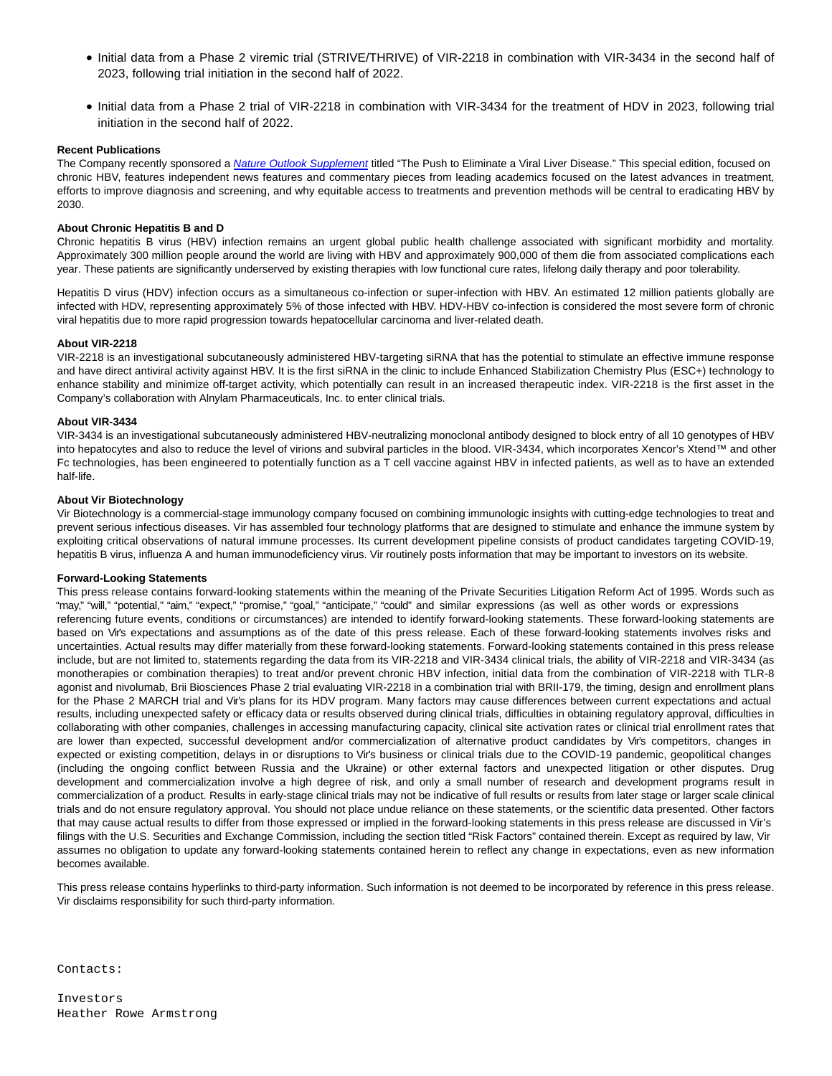- Initial data from a Phase 2 viremic trial (STRIVE/THRIVE) of VIR-2218 in combination with VIR-3434 in the second half of 2023, following trial initiation in the second half of 2022.
- Initial data from a Phase 2 trial of VIR-2218 in combination with VIR-3434 for the treatment of HDV in 2023, following trial initiation in the second half of 2022.

# **Recent Publications**

The Company recently sponsored a [Nature Outlook Supplement](https://www.globenewswire.com/Tracker?data=ObQ-trIt-6IwWpyqkS3Xyo0ramu3NP620dQFn155KfVHVyh-n-BMbBFumxEO0ANWU9REXumUEcR7rXHxaBA25B-xVouYseE691TaGa7bhOObtKNCgZ1MXAw35St0nMPNrQcVMGpPF5wF4ZV61ynY4A==) titled "The Push to Eliminate a Viral Liver Disease." This special edition, focused on chronic HBV, features independent news features and commentary pieces from leading academics focused on the latest advances in treatment, efforts to improve diagnosis and screening, and why equitable access to treatments and prevention methods will be central to eradicating HBV by 2030.

# **About Chronic Hepatitis B and D**

Chronic hepatitis B virus (HBV) infection remains an urgent global public health challenge associated with significant morbidity and mortality. Approximately 300 million people around the world are living with HBV and approximately 900,000 of them die from associated complications each year. These patients are significantly underserved by existing therapies with low functional cure rates, lifelong daily therapy and poor tolerability.

Hepatitis D virus (HDV) infection occurs as a simultaneous co-infection or super-infection with HBV. An estimated 12 million patients globally are infected with HDV, representing approximately 5% of those infected with HBV. HDV-HBV co-infection is considered the most severe form of chronic viral hepatitis due to more rapid progression towards hepatocellular carcinoma and liver-related death.

## **About VIR-2218**

VIR-2218 is an investigational subcutaneously administered HBV-targeting siRNA that has the potential to stimulate an effective immune response and have direct antiviral activity against HBV. It is the first siRNA in the clinic to include Enhanced Stabilization Chemistry Plus (ESC+) technology to enhance stability and minimize off-target activity, which potentially can result in an increased therapeutic index. VIR-2218 is the first asset in the Company's collaboration with Alnylam Pharmaceuticals, Inc. to enter clinical trials.

## **About VIR-3434**

VIR-3434 is an investigational subcutaneously administered HBV-neutralizing monoclonal antibody designed to block entry of all 10 genotypes of HBV into hepatocytes and also to reduce the level of virions and subviral particles in the blood. VIR-3434, which incorporates Xencor's Xtend™ and other Fc technologies, has been engineered to potentially function as a T cell vaccine against HBV in infected patients, as well as to have an extended half-life.

## **About Vir Biotechnology**

Vir Biotechnology is a commercial-stage immunology company focused on combining immunologic insights with cutting-edge technologies to treat and prevent serious infectious diseases. Vir has assembled four technology platforms that are designed to stimulate and enhance the immune system by exploiting critical observations of natural immune processes. Its current development pipeline consists of product candidates targeting COVID-19, hepatitis B virus, influenza A and human immunodeficiency virus. Vir routinely posts information that may be important to investors on its website.

## **Forward-Looking Statements**

This press release contains forward-looking statements within the meaning of the Private Securities Litigation Reform Act of 1995. Words such as "may," "will," "potential," "aim," "expect," "promise," "goal," "anticipate," "could" and similar expressions (as well as other words or expressions referencing future events, conditions or circumstances) are intended to identify forward-looking statements. These forward-looking statements are based on Vir's expectations and assumptions as of the date of this press release. Each of these forward-looking statements involves risks and uncertainties. Actual results may differ materially from these forward-looking statements. Forward-looking statements contained in this press release include, but are not limited to, statements regarding the data from its VIR-2218 and VIR-3434 clinical trials, the ability of VIR-2218 and VIR-3434 (as monotherapies or combination therapies) to treat and/or prevent chronic HBV infection, initial data from the combination of VIR-2218 with TLR-8 agonist and nivolumab, Brii Biosciences Phase 2 trial evaluating VIR-2218 in a combination trial with BRII-179, the timing, design and enrollment plans for the Phase 2 MARCH trial and Vir's plans for its HDV program. Many factors may cause differences between current expectations and actual results, including unexpected safety or efficacy data or results observed during clinical trials, difficulties in obtaining regulatory approval, difficulties in collaborating with other companies, challenges in accessing manufacturing capacity, clinical site activation rates or clinical trial enrollment rates that are lower than expected, successful development and/or commercialization of alternative product candidates by Vir's competitors, changes in expected or existing competition, delays in or disruptions to Vir's business or clinical trials due to the COVID-19 pandemic, geopolitical changes (including the ongoing conflict between Russia and the Ukraine) or other external factors and unexpected litigation or other disputes. Drug development and commercialization involve a high degree of risk, and only a small number of research and development programs result in commercialization of a product. Results in early-stage clinical trials may not be indicative of full results or results from later stage or larger scale clinical trials and do not ensure regulatory approval. You should not place undue reliance on these statements, or the scientific data presented. Other factors that may cause actual results to differ from those expressed or implied in the forward-looking statements in this press release are discussed in Vir's filings with the U.S. Securities and Exchange Commission, including the section titled "Risk Factors" contained therein. Except as required by law, Vir assumes no obligation to update any forward-looking statements contained herein to reflect any change in expectations, even as new information becomes available.

This press release contains hyperlinks to third-party information. Such information is not deemed to be incorporated by reference in this press release. Vir disclaims responsibility for such third-party information.

Contacts:

Investors Heather Rowe Armstrong